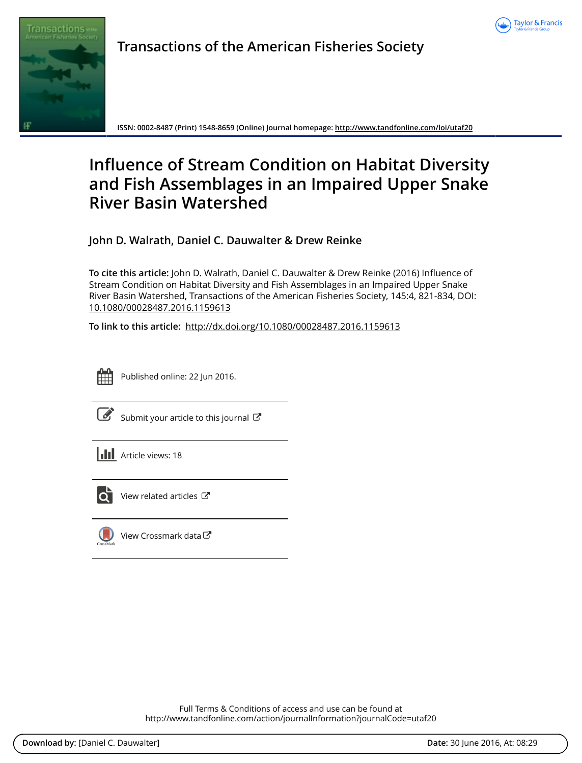



**Transactions of the American Fisheries Society**

**ISSN: 0002-8487 (Print) 1548-8659 (Online) Journal homepage:<http://www.tandfonline.com/loi/utaf20>**

# **Influence of Stream Condition on Habitat Diversity and Fish Assemblages in an Impaired Upper Snake River Basin Watershed**

**John D. Walrath, Daniel C. Dauwalter & Drew Reinke**

**To cite this article:** John D. Walrath, Daniel C. Dauwalter & Drew Reinke (2016) Influence of Stream Condition on Habitat Diversity and Fish Assemblages in an Impaired Upper Snake River Basin Watershed, Transactions of the American Fisheries Society, 145:4, 821-834, DOI: [10.1080/00028487.2016.1159613](http://www.tandfonline.com/action/showCitFormats?doi=10.1080/00028487.2016.1159613)

**To link to this article:** <http://dx.doi.org/10.1080/00028487.2016.1159613>



Published online: 22 Jun 2016.

|--|

[Submit your article to this journal](http://www.tandfonline.com/action/authorSubmission?journalCode=utaf20&page=instructions)  $\mathbb{Z}$ 

**III** Article views: 18



 $\overline{\mathbf{C}}$  [View related articles](http://www.tandfonline.com/doi/mlt/10.1080/00028487.2016.1159613)  $\mathbf{C}$ 



[View Crossmark data](http://crossmark.crossref.org/dialog/?doi=10.1080/00028487.2016.1159613&domain=pdf&date_stamp=2016-06-22)

Full Terms & Conditions of access and use can be found at <http://www.tandfonline.com/action/journalInformation?journalCode=utaf20>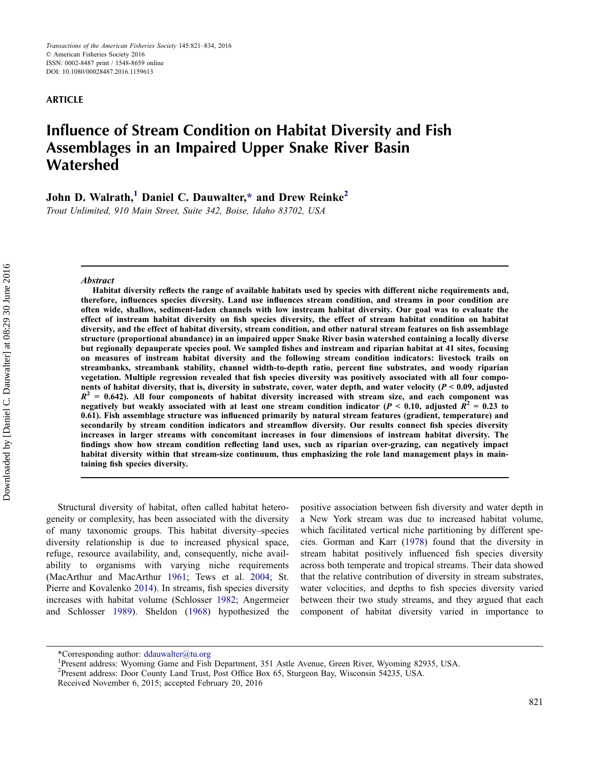### ARTICLE

# Influence of Stream Condition on Habitat Diversity and Fish Assemblages in an Impaired Upper Snake River Basin Watershed

John D. Walrath,<sup>1</sup> Daniel C. Dauwalter[,\\*](#page-1-0) and Drew Reinke<sup>2</sup>

Trout Unlimited, 910 Main Street, Suite 342, Boise, Idaho 83702, USA

#### Abstract

Habitat diversity reflects the range of available habitats used by species with different niche requirements and, therefore, influences species diversity. Land use influences stream condition, and streams in poor condition are often wide, shallow, sediment-laden channels with low instream habitat diversity. Our goal was to evaluate the effect of instream habitat diversity on fish species diversity, the effect of stream habitat condition on habitat diversity, and the effect of habitat diversity, stream condition, and other natural stream features on fish assemblage structure (proportional abundance) in an impaired upper Snake River basin watershed containing a locally diverse but regionally depauperate species pool. We sampled fishes and instream and riparian habitat at 41 sites, focusing on measures of instream habitat diversity and the following stream condition indicators: livestock trails on streambanks, streambank stability, channel width-to-depth ratio, percent fine substrates, and woody riparian vegetation. Multiple regression revealed that fish species diversity was positively associated with all four components of habitat diversity, that is, diversity in substrate, cover, water depth, and water velocity ( $P < 0.09$ , adjusted  $R<sup>2</sup> = 0.642$ ). All four components of habitat diversity increased with stream size, and each component was negatively but weakly associated with at least one stream condition indicator ( $P < 0.10$ , adjusted  $R^2 = 0.23$  to 0.61). Fish assemblage structure was influenced primarily by natural stream features (gradient, temperature) and secondarily by stream condition indicators and streamflow diversity. Our results connect fish species diversity increases in larger streams with concomitant increases in four dimensions of instream habitat diversity. The findings show how stream condition reflecting land uses, such as riparian over-grazing, can negatively impact habitat diversity within that stream-size continuum, thus emphasizing the role land management plays in maintaining fish species diversity.

Structural diversity of habitat, often called habitat heterogeneity or complexity, has been associated with the diversity of many taxonomic groups. This habitat diversity–species diversity relationship is due to increased physical space, refuge, resource availability, and, consequently, niche availability to organisms with varying niche requirements (MacArthur and MacArthur [1961;](#page-13-0) Tews et al. [2004](#page-14-0); St. Pierre and Kovalenko [2014](#page-14-1)). In streams, fish species diversity increases with habitat volume (Schlosser [1982;](#page-14-2) Angermeier and Schlosser [1989](#page-12-0)). Sheldon [\(1968](#page-14-3)) hypothesized the positive association between fish diversity and water depth in a New York stream was due to increased habitat volume, which facilitated vertical niche partitioning by different species. Gorman and Karr [\(1978](#page-13-1)) found that the diversity in stream habitat positively influenced fish species diversity across both temperate and tropical streams. Their data showed that the relative contribution of diversity in stream substrates, water velocities, and depths to fish species diversity varied between their two study streams, and they argued that each component of habitat diversity varied in importance to

<span id="page-1-0"></span><sup>\*</sup>Corresponding author: ddauwalter@tu.org

Present address: Wyoming Game and Fish Department, 351 Astle Avenue, Green River, Wyoming 82935, USA.

<sup>&</sup>lt;sup>2</sup> Present address: Door County Land Trust, Post Office Box 65, Sturgeon Bay, Wisconsin 54235, USA.

Received November 6, 2015; accepted February 20, 2016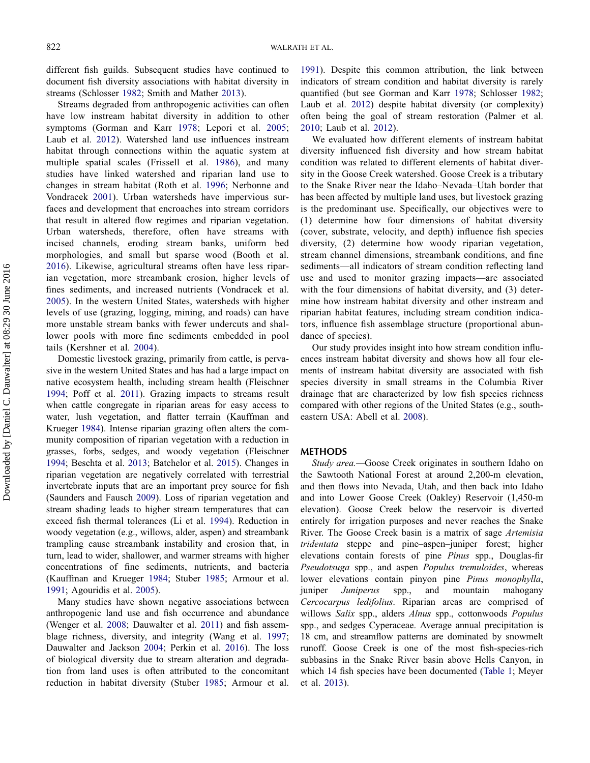different fish guilds. Subsequent studies have continued to document fish diversity associations with habitat diversity in streams (Schlosser [1982;](#page-14-2) Smith and Mather [2013](#page-14-4)).

Streams degraded from anthropogenic activities can often have low instream habitat diversity in addition to other symptoms (Gorman and Karr [1978;](#page-13-1) Lepori et al. [2005](#page-13-2); Laub et al. [2012](#page-13-3)). Watershed land use influences instream habitat through connections within the aquatic system at multiple spatial scales (Frissell et al. [1986\)](#page-13-4), and many studies have linked watershed and riparian land use to changes in stream habitat (Roth et al. [1996](#page-14-5); Nerbonne and Vondracek [2001\)](#page-14-6). Urban watersheds have impervious surfaces and development that encroaches into stream corridors that result in altered flow regimes and riparian vegetation. Urban watersheds, therefore, often have streams with incised channels, eroding stream banks, uniform bed morphologies, and small but sparse wood (Booth et al. [2016](#page-13-5)). Likewise, agricultural streams often have less riparian vegetation, more streambank erosion, higher levels of fines sediments, and increased nutrients (Vondracek et al. [2005](#page-14-7)). In the western United States, watersheds with higher levels of use (grazing, logging, mining, and roads) can have more unstable stream banks with fewer undercuts and shallower pools with more fine sediments embedded in pool tails (Kershner et al. [2004](#page-13-6)).

Domestic livestock grazing, primarily from cattle, is pervasive in the western United States and has had a large impact on native ecosystem health, including stream health (Fleischner [1994;](#page-13-7) Poff et al. [2011\)](#page-14-8). Grazing impacts to streams result when cattle congregate in riparian areas for easy access to water, lush vegetation, and flatter terrain (Kauffman and Krueger [1984](#page-13-8)). Intense riparian grazing often alters the community composition of riparian vegetation with a reduction in grasses, forbs, sedges, and woody vegetation (Fleischner [1994;](#page-13-7) Beschta et al. [2013;](#page-13-9) Batchelor et al. [2015](#page-12-1)). Changes in riparian vegetation are negatively correlated with terrestrial invertebrate inputs that are an important prey source for fish (Saunders and Fausch [2009\)](#page-14-9). Loss of riparian vegetation and stream shading leads to higher stream temperatures that can exceed fish thermal tolerances (Li et al. [1994\)](#page-13-10). Reduction in woody vegetation (e.g., willows, alder, aspen) and streambank trampling cause streambank instability and erosion that, in turn, lead to wider, shallower, and warmer streams with higher concentrations of fine sediments, nutrients, and bacteria (Kauffman and Krueger [1984](#page-13-8); Stuber [1985](#page-14-10); Armour et al. [1991;](#page-12-2) Agouridis et al. [2005\)](#page-12-3).

Many studies have shown negative associations between anthropogenic land use and fish occurrence and abundance (Wenger et al. [2008](#page-14-11); Dauwalter et al. [2011](#page-13-11)) and fish assemblage richness, diversity, and integrity (Wang et al. [1997](#page-14-12); Dauwalter and Jackson [2004;](#page-13-12) Perkin et al. [2016\)](#page-14-13). The loss of biological diversity due to stream alteration and degradation from land uses is often attributed to the concomitant reduction in habitat diversity (Stuber [1985](#page-14-10); Armour et al.

[1991\)](#page-12-2). Despite this common attribution, the link between indicators of stream condition and habitat diversity is rarely quantified (but see Gorman and Karr [1978;](#page-13-1) Schlosser [1982](#page-14-2); Laub et al. [2012\)](#page-13-3) despite habitat diversity (or complexity) often being the goal of stream restoration (Palmer et al. [2010;](#page-14-14) Laub et al. [2012\)](#page-13-3).

We evaluated how different elements of instream habitat diversity influenced fish diversity and how stream habitat condition was related to different elements of habitat diversity in the Goose Creek watershed. Goose Creek is a tributary to the Snake River near the Idaho–Nevada–Utah border that has been affected by multiple land uses, but livestock grazing is the predominant use. Specifically, our objectives were to (1) determine how four dimensions of habitat diversity (cover, substrate, velocity, and depth) influence fish species diversity, (2) determine how woody riparian vegetation, stream channel dimensions, streambank conditions, and fine sediments—all indicators of stream condition reflecting land use and used to monitor grazing impacts—are associated with the four dimensions of habitat diversity, and (3) determine how instream habitat diversity and other instream and riparian habitat features, including stream condition indicators, influence fish assemblage structure (proportional abundance of species).

Our study provides insight into how stream condition influences instream habitat diversity and shows how all four elements of instream habitat diversity are associated with fish species diversity in small streams in the Columbia River drainage that are characterized by low fish species richness compared with other regions of the United States (e.g., southeastern USA: Abell et al. [2008\)](#page-12-4).

#### **METHODS**

Study area.—Goose Creek originates in southern Idaho on the Sawtooth National Forest at around 2,200-m elevation, and then flows into Nevada, Utah, and then back into Idaho and into Lower Goose Creek (Oakley) Reservoir (1,450-m elevation). Goose Creek below the reservoir is diverted entirely for irrigation purposes and never reaches the Snake River. The Goose Creek basin is a matrix of sage Artemisia tridentata steppe and pine–aspen–juniper forest; higher elevations contain forests of pine Pinus spp., Douglas-fir Pseudotsuga spp., and aspen Populus tremuloides, whereas lower elevations contain pinyon pine Pinus monophylla, juniper Juniperus spp., and mountain mahogany Cercocarpus ledifolius. Riparian areas are comprised of willows Salix spp., alders Alnus spp., cottonwoods Populus spp., and sedges Cyperaceae. Average annual precipitation is 18 cm, and streamflow patterns are dominated by snowmelt runoff. Goose Creek is one of the most fish-species-rich subbasins in the Snake River basin above Hells Canyon, in which 14 fish species have been documented ([Table 1](#page-3-0); Meyer et al. [2013\)](#page-13-13).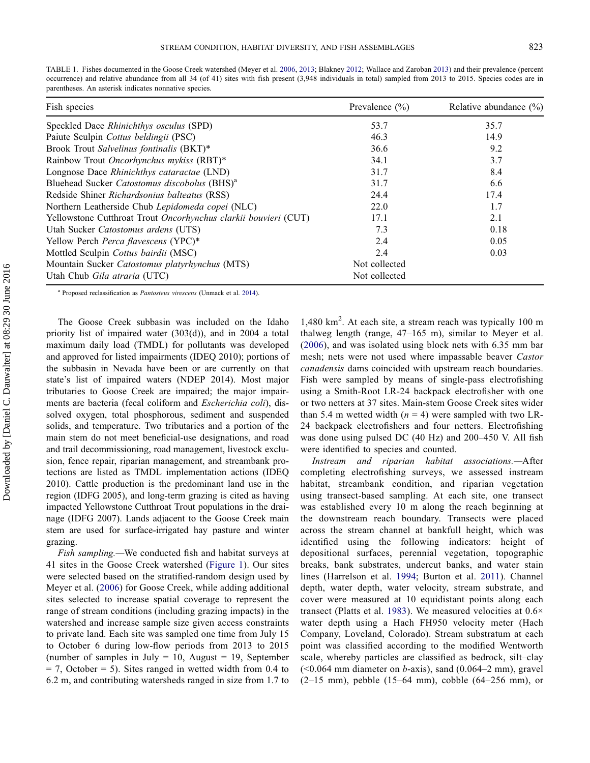<span id="page-3-0"></span>TABLE 1. Fishes documented in the Goose Creek watershed (Meyer et al. [2006,](#page-13-14) [2013;](#page-13-13) Blakney [2012;](#page-13-17) Wallace and Zaroban [2013](#page-14-16)) and their prevalence (percent occurrence) and relative abundance from all 34 (of 41) sites with fish present (3,948 individuals in total) sampled from 2013 to 2015. Species codes are in parentheses. An asterisk indicates nonnative species.

| Fish species                                                    | Prevalence $(\% )$ | Relative abundance $(\%)$ |
|-----------------------------------------------------------------|--------------------|---------------------------|
| Speckled Dace <i>Rhinichthys osculus</i> (SPD)                  | 53.7               | 35.7                      |
| Paiute Sculpin Cottus beldingii (PSC)                           | 46.3               | 14.9                      |
| Brook Trout Salvelinus fontinalis (BKT)*                        | 36.6               | 9.2                       |
| Rainbow Trout Oncorhynchus mykiss (RBT)*                        | 34.1               | 3.7                       |
| Longnose Dace Rhinichthys cataractae (LND)                      | 31.7               | 8.4                       |
| Bluehead Sucker Catostomus discobolus (BHS) <sup>a</sup>        | 31.7               | 6.6                       |
| Redside Shiner Richardsonius balteatus (RSS)                    | 24.4               | 17.4                      |
| Northern Leatherside Chub Lepidomeda copei (NLC)                | 22.0               | 1.7                       |
| Yellowstone Cutthroat Trout Oncorhynchus clarkii bouvieri (CUT) | 17.1               | 2.1                       |
| Utah Sucker Catostomus ardens (UTS)                             | 7.3                | 0.18                      |
| Yellow Perch Perca flavescens (YPC)*                            | 2.4                | 0.05                      |
| Mottled Sculpin Cottus bairdii (MSC)                            | 2.4                | 0.03                      |
| Mountain Sucker Catostomus platyrhynchus (MTS)                  | Not collected      |                           |
| Utah Chub <i>Gila atraria</i> (UTC)                             | Not collected      |                           |

<sup>a</sup> Proposed reclassification as *Pantosteus virescens* (Unmack et al. [2014](#page-14-17)).

The Goose Creek subbasin was included on the Idaho priority list of impaired water (303(d)), and in 2004 a total maximum daily load (TMDL) for pollutants was developed and approved for listed impairments (IDEQ 2010); portions of the subbasin in Nevada have been or are currently on that state's list of impaired waters (NDEP 2014). Most major tributaries to Goose Creek are impaired; the major impairments are bacteria (fecal coliform and Escherichia coli), dissolved oxygen, total phosphorous, sediment and suspended solids, and temperature. Two tributaries and a portion of the main stem do not meet beneficial-use designations, and road and trail decommissioning, road management, livestock exclusion, fence repair, riparian management, and streambank protections are listed as TMDL implementation actions (IDEQ 2010). Cattle production is the predominant land use in the region (IDFG 2005), and long-term grazing is cited as having impacted Yellowstone Cutthroat Trout populations in the drainage (IDFG 2007). Lands adjacent to the Goose Creek main stem are used for surface-irrigated hay pasture and winter grazing.

Fish sampling.—We conducted fish and habitat surveys at 41 sites in the Goose Creek watershed [\(Figure 1\)](#page-4-0). Our sites were selected based on the stratified-random design used by Meyer et al. ([2006\)](#page-13-14) for Goose Creek, while adding additional sites selected to increase spatial coverage to represent the range of stream conditions (including grazing impacts) in the watershed and increase sample size given access constraints to private land. Each site was sampled one time from July 15 to October 6 during low-flow periods from 2013 to 2015 (number of samples in July  $= 10$ , August  $= 19$ , September  $= 7$ , October  $= 5$ ). Sites ranged in wetted width from 0.4 to 6.2 m, and contributing watersheds ranged in size from 1.7 to

1,480 km<sup>2</sup> . At each site, a stream reach was typically 100 m thalweg length (range, 47–165 m), similar to Meyer et al. [\(2006\)](#page-13-14), and was isolated using block nets with 6.35 mm bar mesh; nets were not used where impassable beaver Castor canadensis dams coincided with upstream reach boundaries. Fish were sampled by means of single-pass electrofishing using a Smith-Root LR-24 backpack electrofisher with one or two netters at 37 sites. Main-stem Goose Creek sites wider than 5.4 m wetted width  $(n = 4)$  were sampled with two LR-24 backpack electrofishers and four netters. Electrofishing was done using pulsed DC (40 Hz) and 200–450 V. All fish were identified to species and counted.

Instream and riparian habitat associations.—After completing electrofishing surveys, we assessed instream habitat, streambank condition, and riparian vegetation using transect-based sampling. At each site, one transect was established every 10 m along the reach beginning at the downstream reach boundary. Transects were placed across the stream channel at bankfull height, which was identified using the following indicators: height of depositional surfaces, perennial vegetation, topographic breaks, bank substrates, undercut banks, and water stain lines (Harrelson et al. [1994;](#page-13-15) Burton et al. [2011](#page-13-16)). Channel depth, water depth, water velocity, stream substrate, and cover were measured at 10 equidistant points along each transect (Platts et al. [1983](#page-14-15)). We measured velocities at 0.6× water depth using a Hach FH950 velocity meter (Hach Company, Loveland, Colorado). Stream substratum at each point was classified according to the modified Wentworth scale, whereby particles are classified as bedrock, silt–clay  $(< 0.064$  mm diameter on b-axis), sand  $(0.064-2$  mm), gravel (2–15 mm), pebble (15–64 mm), cobble (64–256 mm), or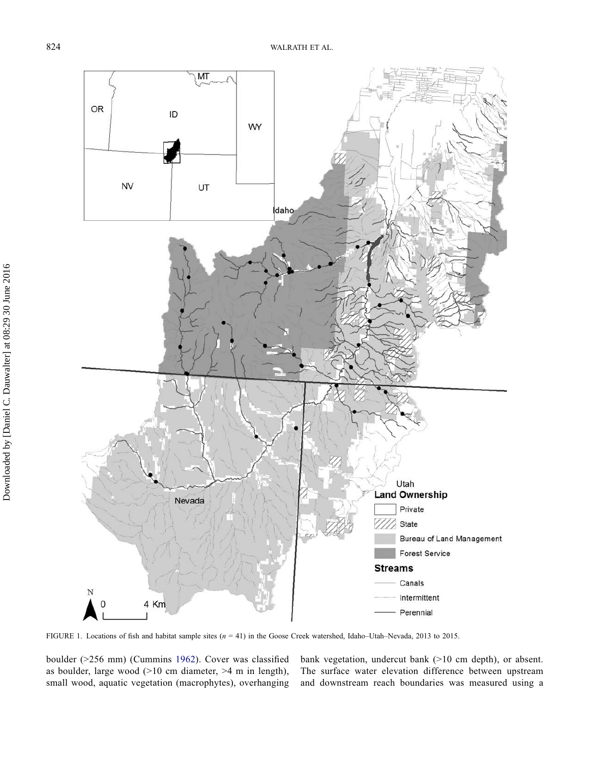

<span id="page-4-0"></span>FIGURE 1. Locations of fish and habitat sample sites  $(n = 41)$  in the Goose Creek watershed, Idaho–Utah–Nevada, 2013 to 2015.

boulder (>256 mm) (Cummins [1962\)](#page-13-18). Cover was classified as boulder, large wood (>10 cm diameter, >4 m in length), small wood, aquatic vegetation (macrophytes), overhanging bank vegetation, undercut bank (>10 cm depth), or absent. The surface water elevation difference between upstream and downstream reach boundaries was measured using a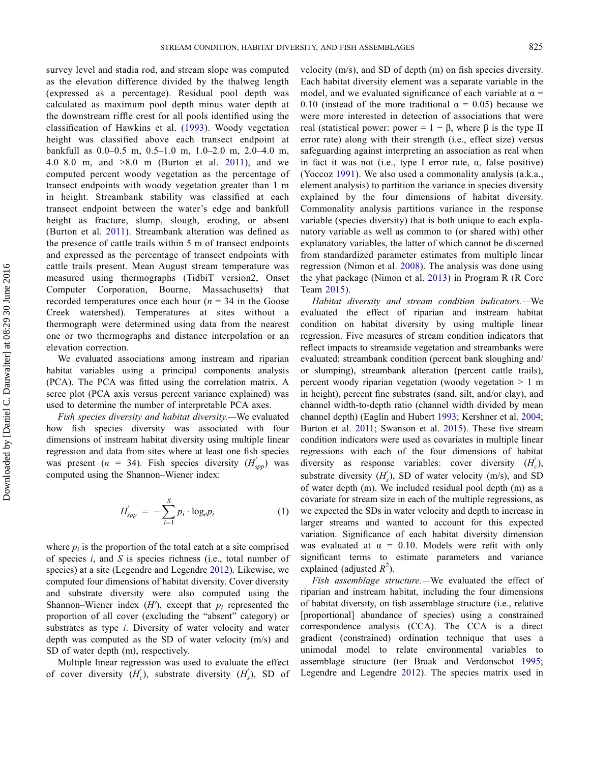survey level and stadia rod, and stream slope was computed as the elevation difference divided by the thalweg length (expressed as a percentage). Residual pool depth was calculated as maximum pool depth minus water depth at the downstream riffle crest for all pools identified using the classification of Hawkins et al. ([1993](#page-13-19)). Woody vegetation height was classified above each transect endpoint at bankfull as 0.0–0.5 m, 0.5–1.0 m, 1.0–2.0 m, 2.0–4.0 m, 4.0–8.0 m, and >8.0 m (Burton et al. [2011\)](#page-13-16), and we computed percent woody vegetation as the percentage of transect endpoints with woody vegetation greater than 1 m in height. Streambank stability was classified at each transect endpoint between the water's edge and bankfull height as fracture, slump, slough, eroding, or absent (Burton et al. [2011](#page-13-16)). Streambank alteration was defined as the presence of cattle trails within 5 m of transect endpoints and expressed as the percentage of transect endpoints with cattle trails present. Mean August stream temperature was measured using thermographs (TidbiT version2, Onset Computer Corporation, Bourne, Massachusetts) that recorded temperatures once each hour ( $n = 34$  in the Goose Creek watershed). Temperatures at sites without a thermograph were determined using data from the nearest one or two thermographs and distance interpolation or an elevation correction.

We evaluated associations among instream and riparian habitat variables using a principal components analysis (PCA). The PCA was fitted using the correlation matrix. A scree plot (PCA axis versus percent variance explained) was used to determine the number of interpretable PCA axes.

Fish species diversity and habitat diversity.—We evaluated how fish species diversity was associated with four dimensions of instream habitat diversity using multiple linear regression and data from sites where at least one fish species was present (*n* = 34). Fish species diversity  $(H_{spp}')$  was computed using the Shannon–Wiener index:

$$
H_{spp}' = -\sum_{i=1}^{S} p_i \cdot \log_e p_i \tag{1}
$$

where  $p_i$  is the proportion of the total catch at a site comprised of species  $i$ , and  $S$  is species richness (i.e., total number of species) at a site (Legendre and Legendre [2012\)](#page-13-20). Likewise, we computed four dimensions of habitat diversity. Cover diversity and substrate diversity were also computed using the Shannon–Wiener index  $(H')$ , except that  $p_i$  represented the proportion of all cover (excluding the "absent" category) or substrates as type i. Diversity of water velocity and water depth was computed as the SD of water velocity (m/s) and SD of water depth (m), respectively.

Multiple linear regression was used to evaluate the effect of cover diversity  $(H_c)$ , substrate diversity  $(H_s)$ , SD of velocity (m/s), and SD of depth (m) on fish species diversity. Each habitat diversity element was a separate variable in the model, and we evaluated significance of each variable at  $\alpha$  = 0.10 (instead of the more traditional  $\alpha = 0.05$ ) because we were more interested in detection of associations that were real (statistical power: power =  $1 - \beta$ , where  $\beta$  is the type II error rate) along with their strength (i.e., effect size) versus safeguarding against interpreting an association as real when in fact it was not (i.e., type I error rate,  $\alpha$ , false positive) (Yoccoz [1991](#page-14-18)). We also used a commonality analysis (a.k.a., element analysis) to partition the variance in species diversity explained by the four dimensions of habitat diversity. Commonality analysis partitions variance in the response variable (species diversity) that is both unique to each explanatory variable as well as common to (or shared with) other explanatory variables, the latter of which cannot be discerned from standardized parameter estimates from multiple linear regression (Nimon et al. [2008\)](#page-14-19). The analysis was done using the yhat package (Nimon et al. [2013\)](#page-14-20) in Program R (R Core Team [2015](#page-14-21)).

Habitat diversity and stream condition indicators.—We evaluated the effect of riparian and instream habitat condition on habitat diversity by using multiple linear regression. Five measures of stream condition indicators that reflect impacts to streamside vegetation and streambanks were evaluated: streambank condition (percent bank sloughing and/ or slumping), streambank alteration (percent cattle trails), percent woody riparian vegetation (woody vegetation > 1 m in height), percent fine substrates (sand, silt, and/or clay), and channel width-to-depth ratio (channel width divided by mean channel depth) (Eaglin and Hubert [1993;](#page-13-21) Kershner et al. [2004](#page-13-6); Burton et al. [2011;](#page-13-16) Swanson et al. [2015\)](#page-14-22). These five stream condition indicators were used as covariates in multiple linear regressions with each of the four dimensions of habitat diversity as response variables: cover diversity  $(H_c)$ , substrate diversity  $(H_s)$ , SD of water velocity (m/s), and SD of water depth (m). We included residual pool depth (m) as a covariate for stream size in each of the multiple regressions, as we expected the SDs in water velocity and depth to increase in larger streams and wanted to account for this expected variation. Significance of each habitat diversity dimension was evaluated at  $\alpha = 0.10$ . Models were refit with only significant terms to estimate parameters and variance explained (adjusted  $R^2$ ).

Fish assemblage structure.—We evaluated the effect of riparian and instream habitat, including the four dimensions of habitat diversity, on fish assemblage structure (i.e., relative [proportional] abundance of species) using a constrained correspondence analysis (CCA). The CCA is a direct gradient (constrained) ordination technique that uses a unimodal model to relate environmental variables assemblage structure (ter Braak and Verdonschot [1995](#page-14-23); Legendre and Legendre [2012\)](#page-13-20). The species matrix used in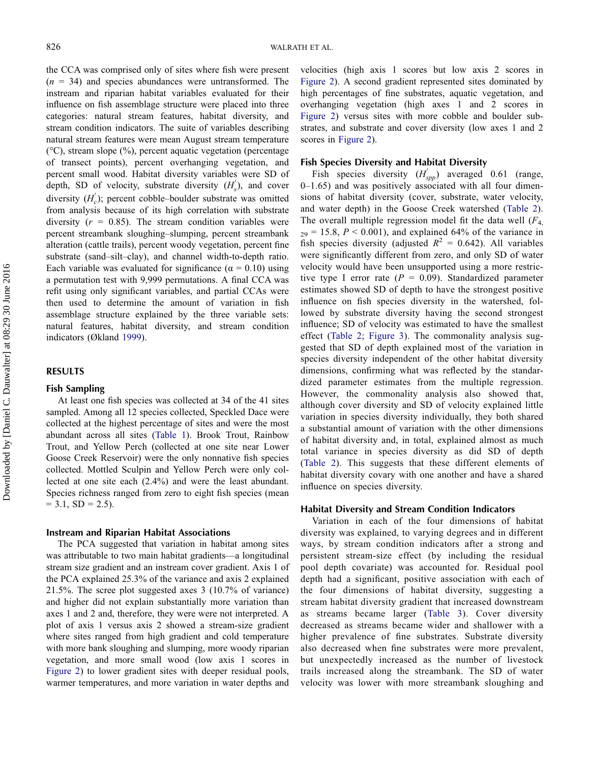the CCA was comprised only of sites where fish were present  $(n = 34)$  and species abundances were untransformed. The instream and riparian habitat variables evaluated for their influence on fish assemblage structure were placed into three categories: natural stream features, habitat diversity, and stream condition indicators. The suite of variables describing natural stream features were mean August stream temperature (°C), stream slope (%), percent aquatic vegetation (percentage of transect points), percent overhanging vegetation, and percent small wood. Habitat diversity variables were SD of depth, SD of velocity, substrate diversity  $(H'_s)$ , and cover diversity  $(H_c')$ ; percent cobble–boulder substrate was omitted from analysis because of its high correlation with substrate diversity  $(r = 0.85)$ . The stream condition variables were percent streambank sloughing–slumping, percent streambank alteration (cattle trails), percent woody vegetation, percent fine substrate (sand–silt–clay), and channel width-to-depth ratio. Each variable was evaluated for significance ( $\alpha = 0.10$ ) using a permutation test with 9,999 permutations. A final CCA was refit using only significant variables, and partial CCAs were then used to determine the amount of variation in fish assemblage structure explained by the three variable sets: natural features, habitat diversity, and stream condition indicators (Økland [1999\)](#page-14-24).

## RESULTS

#### Fish Sampling

At least one fish species was collected at 34 of the 41 sites sampled. Among all 12 species collected, Speckled Dace were collected at the highest percentage of sites and were the most abundant across all sites [\(Table 1](#page-3-0)). Brook Trout, Rainbow Trout, and Yellow Perch (collected at one site near Lower Goose Creek Reservoir) were the only nonnative fish species collected. Mottled Sculpin and Yellow Perch were only collected at one site each (2.4%) and were the least abundant. Species richness ranged from zero to eight fish species (mean  $= 3.1, SD = 2.5$ ).

#### Instream and Riparian Habitat Associations

The PCA suggested that variation in habitat among sites was attributable to two main habitat gradients—a longitudinal stream size gradient and an instream cover gradient. Axis 1 of the PCA explained 25.3% of the variance and axis 2 explained 21.5%. The scree plot suggested axes 3 (10.7% of variance) and higher did not explain substantially more variation than axes 1 and 2 and, therefore, they were were not interpreted. A plot of axis 1 versus axis 2 showed a stream-size gradient where sites ranged from high gradient and cold temperature with more bank sloughing and slumping, more woody riparian vegetation, and more small wood (low axis 1 scores in [Figure 2](#page-7-0)) to lower gradient sites with deeper residual pools, warmer temperatures, and more variation in water depths and velocities (high axis 1 scores but low axis 2 scores in [Figure 2](#page-7-0)). A second gradient represented sites dominated by high percentages of fine substrates, aquatic vegetation, and overhanging vegetation (high axes 1 and 2 scores in [Figure 2](#page-7-0)) versus sites with more cobble and boulder substrates, and substrate and cover diversity (low axes 1 and 2 scores in [Figure 2\)](#page-7-0).

#### Fish Species Diversity and Habitat Diversity

Fish species diversity  $(H_{\text{app}}')$  averaged 0.61 (range, 0–1.65) and was positively associated with all four dimensions of habitat diversity (cover, substrate, water velocity, and water depth) in the Goose Creek watershed ([Table 2](#page-7-1)). The overall multiple regression model fit the data well  $(F_4)$  $_{29}$  = 15.8,  $P < 0.001$ ), and explained 64% of the variance in fish species diversity (adjusted  $R^2 = 0.642$ ). All variables were significantly different from zero, and only SD of water velocity would have been unsupported using a more restrictive type I error rate ( $P = 0.09$ ). Standardized parameter estimates showed SD of depth to have the strongest positive influence on fish species diversity in the watershed, followed by substrate diversity having the second strongest influence; SD of velocity was estimated to have the smallest effect [\(Table 2;](#page-7-1) [Figure 3](#page-8-0)). The commonality analysis suggested that SD of depth explained most of the variation in species diversity independent of the other habitat diversity dimensions, confirming what was reflected by the standardized parameter estimates from the multiple regression. However, the commonality analysis also showed that, although cover diversity and SD of velocity explained little variation in species diversity individually, they both shared a substantial amount of variation with the other dimensions of habitat diversity and, in total, explained almost as much total variance in species diversity as did SD of depth [\(Table 2\)](#page-7-1). This suggests that these different elements of habitat diversity covary with one another and have a shared influence on species diversity.

#### Habitat Diversity and Stream Condition Indicators

Variation in each of the four dimensions of habitat diversity was explained, to varying degrees and in different ways, by stream condition indicators after a strong and persistent stream-size effect (by including the residual pool depth covariate) was accounted for. Residual pool depth had a significant, positive association with each of the four dimensions of habitat diversity, suggesting a stream habitat diversity gradient that increased downstream as streams became larger ([Table 3](#page-9-0)). Cover diversity decreased as streams became wider and shallower with a higher prevalence of fine substrates. Substrate diversity also decreased when fine substrates were more prevalent, but unexpectedly increased as the number of livestock trails increased along the streambank. The SD of water velocity was lower with more streambank sloughing and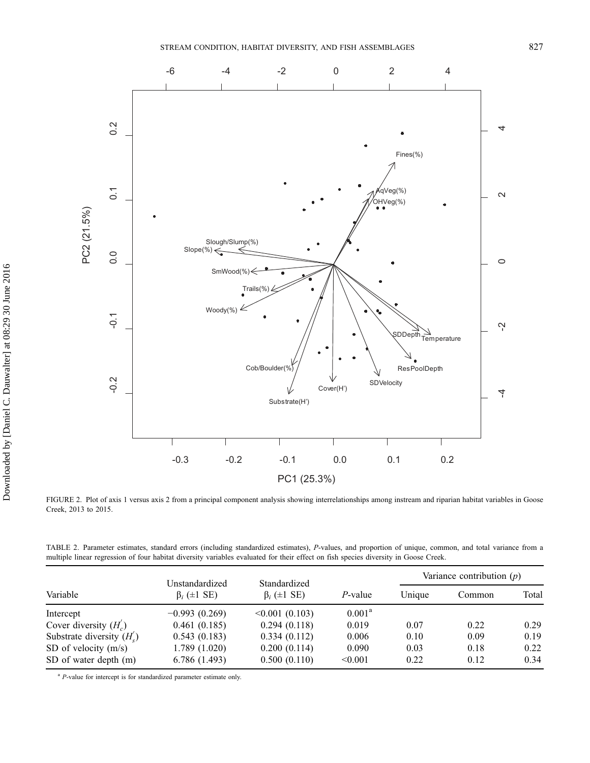

<span id="page-7-0"></span>FIGURE 2. Plot of axis 1 versus axis 2 from a principal component analysis showing interrelationships among instream and riparian habitat variables in Goose Creek, 2013 to 2015.

<span id="page-7-1"></span>TABLE 2. Parameter estimates, standard errors (including standardized estimates), P-values, and proportion of unique, common, and total variance from a multiple linear regression of four habitat diversity variables evaluated for their effect on fish species diversity in Goose Creek.

| Variable                    | Unstandardized<br>$\beta_i$ ( $\pm 1$ SE) | Standardized<br>$\beta_i$ ( $\pm 1$ SE) |                 | Variance contribution $(p)$ |        |       |
|-----------------------------|-------------------------------------------|-----------------------------------------|-----------------|-----------------------------|--------|-------|
|                             |                                           |                                         | $P$ -value      | Unique                      | Common | Total |
| Intercept                   | $-0.993(0.269)$                           | $\leq 0.001$ (0.103)                    | $0.001^{\rm a}$ |                             |        |       |
| Cover diversity $(H_c)$     | 0.461(0.185)                              | 0.294(0.118)                            | 0.019           | 0.07                        | 0.22   | 0.29  |
| Substrate diversity $(H_s)$ | 0.543(0.183)                              | 0.334(0.112)                            | 0.006           | 0.10                        | 0.09   | 0.19  |
| SD of velocity $(m/s)$      | 1.789(1.020)                              | 0.200(0.114)                            | 0.090           | 0.03                        | 0.18   | 0.22  |
| SD of water depth (m)       | 6.786(1.493)                              | 0.500(0.110)                            | < 0.001         | 0.22                        | 0.12   | 0.34  |

 $a$  *P*-value for intercept is for standardized parameter estimate only.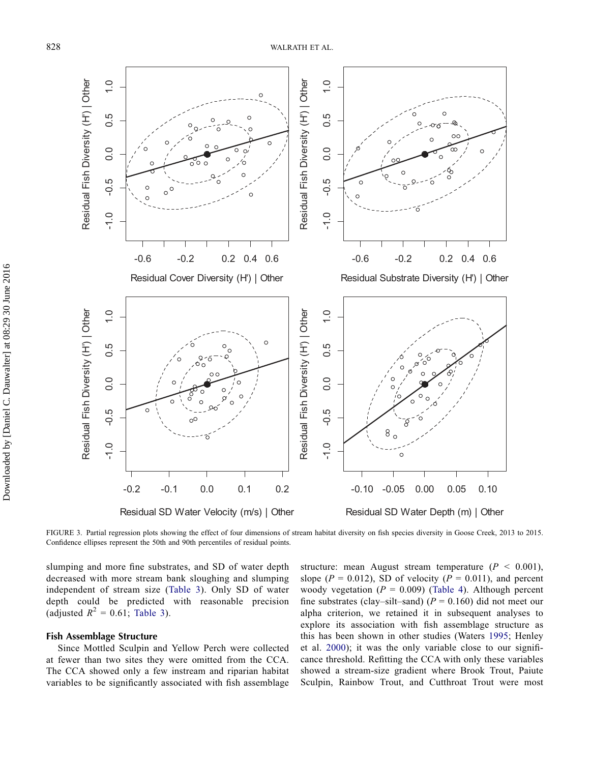

<span id="page-8-0"></span>FIGURE 3. Partial regression plots showing the effect of four dimensions of stream habitat diversity on fish species diversity in Goose Creek, 2013 to 2015. Confidence ellipses represent the 50th and 90th percentiles of residual points.

slumping and more fine substrates, and SD of water depth decreased with more stream bank sloughing and slumping independent of stream size ([Table 3](#page-9-0)). Only SD of water depth could be predicted with reasonable precision (adjusted  $R^2 = 0.61$ ; [Table 3](#page-9-0)).

#### Fish Assemblage Structure

Since Mottled Sculpin and Yellow Perch were collected at fewer than two sites they were omitted from the CCA. The CCA showed only a few instream and riparian habitat variables to be significantly associated with fish assemblage structure: mean August stream temperature  $(P < 0.001)$ , slope ( $P = 0.012$ ), SD of velocity ( $P = 0.011$ ), and percent woody vegetation ( $P = 0.009$ ) ([Table 4\)](#page-10-0). Although percent fine substrates (clay–silt–sand) ( $P = 0.160$ ) did not meet our alpha criterion, we retained it in subsequent analyses to explore its association with fish assemblage structure as this has been shown in other studies (Waters [1995;](#page-14-25) Henley et al. [2000](#page-13-22)); it was the only variable close to our significance threshold. Refitting the CCA with only these variables showed a stream-size gradient where Brook Trout, Paiute Sculpin, Rainbow Trout, and Cutthroat Trout were most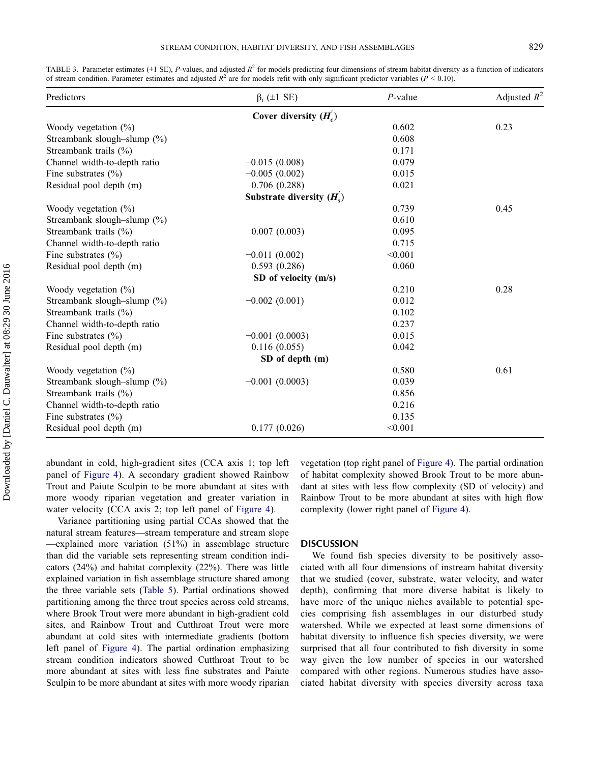| Predictors                     | $\beta_i$ (±1 SE)           | $P$ -value | Adjusted $R^2$ |
|--------------------------------|-----------------------------|------------|----------------|
|                                | Cover diversity $(H_c)$     |            |                |
| Woody vegetation $(\%)$        |                             | 0.602      | 0.23           |
| Streambank slough-slump $(\%)$ |                             | 0.608      |                |
| Streambank trails (%)          |                             | 0.171      |                |
| Channel width-to-depth ratio   | $-0.015(0.008)$             | 0.079      |                |
| Fine substrates $(\% )$        | $-0.005(0.002)$             | 0.015      |                |
| Residual pool depth (m)        | 0.706(0.288)                | 0.021      |                |
|                                | Substrate diversity $(H_s)$ |            |                |
| Woody vegetation $(\%)$        |                             | 0.739      | 0.45           |
| Streambank slough-slump $(\%)$ |                             | 0.610      |                |
| Streambank trails (%)          | 0.007(0.003)                | 0.095      |                |
| Channel width-to-depth ratio   |                             | 0.715      |                |
| Fine substrates $(\% )$        | $-0.011(0.002)$             | < 0.001    |                |
| Residual pool depth (m)        | 0.593(0.286)                | 0.060      |                |
|                                | SD of velocity (m/s)        |            |                |
| Woody vegetation $(\%)$        |                             | 0.210      | 0.28           |
| Streambank slough-slump (%)    | $-0.002(0.001)$             | 0.012      |                |
| Streambank trails (%)          |                             | 0.102      |                |
| Channel width-to-depth ratio   |                             | 0.237      |                |
| Fine substrates $(\% )$        | $-0.001(0.0003)$            | 0.015      |                |
| Residual pool depth (m)        | 0.116(0.055)                | 0.042      |                |
|                                | SD of depth (m)             |            |                |
| Woody vegetation $(\%)$        |                             | 0.580      | 0.61           |
| Streambank slough-slump (%)    | $-0.001(0.0003)$            | 0.039      |                |
| Streambank trails (%)          |                             | 0.856      |                |
| Channel width-to-depth ratio   |                             | 0.216      |                |
| Fine substrates $(\% )$        |                             | 0.135      |                |
| Residual pool depth (m)        | 0.177(0.026)                | < 0.001    |                |

<span id="page-9-0"></span>TABLE 3. Parameter estimates ( $\pm 1$  SE), P-values, and adjusted  $R^2$  for models predicting four dimensions of stream habitat diversity as a function of indicators of stream condition. Parameter estimates and adjusted  $R^2$  are for models refit with only significant predictor variables ( $P < 0.10$ ).

abundant in cold, high-gradient sites (CCA axis 1; top left panel of [Figure 4\)](#page-10-1). A secondary gradient showed Rainbow Trout and Paiute Sculpin to be more abundant at sites with more woody riparian vegetation and greater variation in water velocity (CCA axis 2; top left panel of [Figure 4\)](#page-10-1).

Variance partitioning using partial CCAs showed that the natural stream features—stream temperature and stream slope —explained more variation (51%) in assemblage structure than did the variable sets representing stream condition indicators (24%) and habitat complexity (22%). There was little explained variation in fish assemblage structure shared among the three variable sets [\(Table 5\)](#page-11-0). Partial ordinations showed partitioning among the three trout species across cold streams, where Brook Trout were more abundant in high-gradient cold sites, and Rainbow Trout and Cutthroat Trout were more abundant at cold sites with intermediate gradients (bottom left panel of [Figure 4\)](#page-10-1). The partial ordination emphasizing stream condition indicators showed Cutthroat Trout to be more abundant at sites with less fine substrates and Paiute Sculpin to be more abundant at sites with more woody riparian vegetation (top right panel of [Figure 4](#page-10-1)). The partial ordination of habitat complexity showed Brook Trout to be more abundant at sites with less flow complexity (SD of velocity) and Rainbow Trout to be more abundant at sites with high flow complexity (lower right panel of [Figure 4\)](#page-10-1).

#### DISCUSSION

We found fish species diversity to be positively associated with all four dimensions of instream habitat diversity that we studied (cover, substrate, water velocity, and water depth), confirming that more diverse habitat is likely to have more of the unique niches available to potential species comprising fish assemblages in our disturbed study watershed. While we expected at least some dimensions of habitat diversity to influence fish species diversity, we were surprised that all four contributed to fish diversity in some way given the low number of species in our watershed compared with other regions. Numerous studies have associated habitat diversity with species diversity across taxa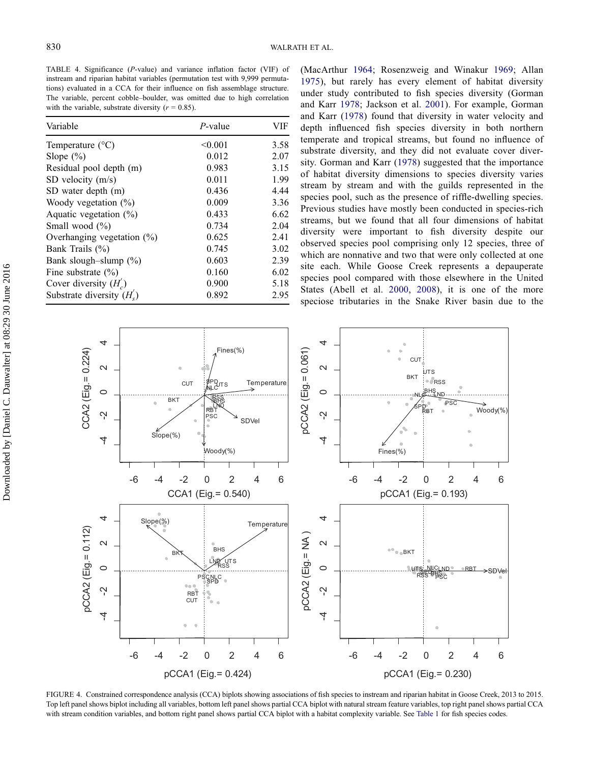<span id="page-10-0"></span>TABLE 4. Significance (P-value) and variance inflation factor (VIF) of instream and riparian habitat variables (permutation test with 9,999 permutations) evaluated in a CCA for their influence on fish assemblage structure. The variable, percent cobble–boulder, was omitted due to high correlation with the variable, substrate diversity ( $r = 0.85$ ).

| Variable                      | $P$ -value | VIF  |  |
|-------------------------------|------------|------|--|
| Temperature $(^{\circ}C)$     | < 0.001    | 3.58 |  |
| Slope $(\% )$                 | 0.012      | 2.07 |  |
| Residual pool depth (m)       | 0.983      | 3.15 |  |
| SD velocity $(m/s)$           | 0.011      | 1.99 |  |
| SD water depth (m)            | 0.436      | 4.44 |  |
| Woody vegetation $(\%)$       | 0.009      | 3.36 |  |
| Aquatic vegetation $(\%)$     | 0.433      | 6.62 |  |
| Small wood $(\% )$            | 0.734      | 2.04 |  |
| Overhanging vegetation $(\%)$ | 0.625      | 2.41 |  |
| Bank Trails $(\% )$           | 0.745      | 3.02 |  |
| Bank slough-slump $(\%)$      | 0.603      | 2.39 |  |
| Fine substrate $(\% )$        | 0.160      | 6.02 |  |
| Cover diversity $(H_c)$       | 0.900      | 5.18 |  |
| Substrate diversity $(H_s)$   | 0.892      | 2.95 |  |

(MacArthur [1964;](#page-13-23) Rosenzweig and Winakur [1969;](#page-14-26) Allan [1975](#page-12-5)), but rarely has every element of habitat diversity under study contributed to fish species diversity (Gorman and Karr [1978](#page-13-1); Jackson et al. [2001\)](#page-13-24). For example, Gorman and Karr [\(1978\)](#page-13-1) found that diversity in water velocity and depth influenced fish species diversity in both northern temperate and tropical streams, but found no influence of substrate diversity, and they did not evaluate cover diversity. Gorman and Karr ([1978\)](#page-13-1) suggested that the importance of habitat diversity dimensions to species diversity varies stream by stream and with the guilds represented in the species pool, such as the presence of riffle-dwelling species. Previous studies have mostly been conducted in species-rich streams, but we found that all four dimensions of habitat diversity were important to fish diversity despite our observed species pool comprising only 12 species, three of which are nonnative and two that were only collected at one site each. While Goose Creek represents a depauperate species pool compared with those elsewhere in the United States (Abell et al. [2000](#page-12-6), [2008](#page-12-4)), it is one of the more speciose tributaries in the Snake River basin due to the



<span id="page-10-1"></span>FIGURE 4. Constrained correspondence analysis (CCA) biplots showing associations of fish species to instream and riparian habitat in Goose Creek, 2013 to 2015. Top left panel shows biplot including all variables, bottom left panel shows partial CCA biplot with natural stream feature variables, top right panel shows partial CCA with stream condition variables, and bottom right panel shows partial CCA biplot with a habitat complexity variable. See [Table 1](#page-3-0) for fish species codes.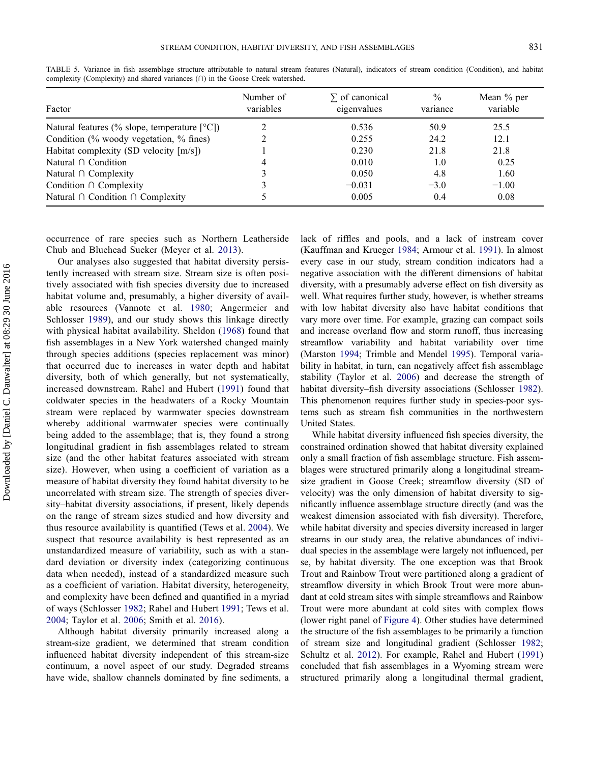| Factor                                                         | Number of<br>variables | $\Sigma$ of canonical<br>eigenvalues | $\frac{0}{0}$<br>variance | Mean % per<br>variable |
|----------------------------------------------------------------|------------------------|--------------------------------------|---------------------------|------------------------|
| Natural features (% slope, temperature $[°C]$ )                |                        | 0.536                                | 50.9                      | 25.5                   |
| Condition $\frac{6}{6}$ woody vegetation, $\frac{6}{6}$ fines) |                        | 0.255                                | 24.2                      | 12.1                   |
| Habitat complexity (SD velocity $[m/s])$                       |                        | 0.230                                | 21.8                      | 21.8                   |
| Natural $\cap$ Condition                                       | 4                      | 0.010                                | 1.0                       | 0.25                   |
| Natural $\cap$ Complexity                                      |                        | 0.050                                | 4.8                       | 1.60                   |
| Condition $\cap$ Complexity                                    |                        | $-0.031$                             | $-3.0$                    | $-1.00$                |
| Natural $\cap$ Condition $\cap$ Complexity                     |                        | 0.005                                | 0.4                       | 0.08                   |

<span id="page-11-0"></span>TABLE 5. Variance in fish assemblage structure attributable to natural stream features (Natural), indicators of stream condition (Condition), and habitat complexity (Complexity) and shared variances (∩) in the Goose Creek watershed.

occurrence of rare species such as Northern Leatherside Chub and Bluehead Sucker (Meyer et al. [2013\)](#page-13-13).

Our analyses also suggested that habitat diversity persistently increased with stream size. Stream size is often positively associated with fish species diversity due to increased habitat volume and, presumably, a higher diversity of available resources (Vannote et al. [1980;](#page-14-27) Angermeier and Schlosser [1989\)](#page-12-0), and our study shows this linkage directly with physical habitat availability. Sheldon [\(1968\)](#page-14-3) found that fish assemblages in a New York watershed changed mainly through species additions (species replacement was minor) that occurred due to increases in water depth and habitat diversity, both of which generally, but not systematically, increased downstream. Rahel and Hubert [\(1991\)](#page-14-28) found that coldwater species in the headwaters of a Rocky Mountain stream were replaced by warmwater species downstream whereby additional warmwater species were continually being added to the assemblage; that is, they found a strong longitudinal gradient in fish assemblages related to stream size (and the other habitat features associated with stream size). However, when using a coefficient of variation as a measure of habitat diversity they found habitat diversity to be uncorrelated with stream size. The strength of species diversity–habitat diversity associations, if present, likely depends on the range of stream sizes studied and how diversity and thus resource availability is quantified (Tews et al. [2004](#page-14-0)). We suspect that resource availability is best represented as an unstandardized measure of variability, such as with a standard deviation or diversity index (categorizing continuous data when needed), instead of a standardized measure such as a coefficient of variation. Habitat diversity, heterogeneity, and complexity have been defined and quantified in a myriad of ways (Schlosser [1982;](#page-14-2) Rahel and Hubert [1991](#page-14-28); Tews et al. [2004](#page-14-0); Taylor et al. [2006;](#page-14-29) Smith et al. [2016](#page-14-30)).

Although habitat diversity primarily increased along a stream-size gradient, we determined that stream condition influenced habitat diversity independent of this stream-size continuum, a novel aspect of our study. Degraded streams have wide, shallow channels dominated by fine sediments, a lack of riffles and pools, and a lack of instream cover (Kauffman and Krueger [1984;](#page-13-8) Armour et al. [1991\)](#page-12-2). In almost every case in our study, stream condition indicators had a negative association with the different dimensions of habitat diversity, with a presumably adverse effect on fish diversity as well. What requires further study, however, is whether streams with low habitat diversity also have habitat conditions that vary more over time. For example, grazing can compact soils and increase overland flow and storm runoff, thus increasing streamflow variability and habitat variability over time (Marston [1994;](#page-13-25) Trimble and Mendel [1995\)](#page-14-31). Temporal variability in habitat, in turn, can negatively affect fish assemblage stability (Taylor et al. [2006](#page-14-29)) and decrease the strength of habitat diversity–fish diversity associations (Schlosser [1982](#page-14-2)). This phenomenon requires further study in species-poor systems such as stream fish communities in the northwestern United States.

While habitat diversity influenced fish species diversity, the constrained ordination showed that habitat diversity explained only a small fraction of fish assemblage structure. Fish assemblages were structured primarily along a longitudinal streamsize gradient in Goose Creek; streamflow diversity (SD of velocity) was the only dimension of habitat diversity to significantly influence assemblage structure directly (and was the weakest dimension associated with fish diversity). Therefore, while habitat diversity and species diversity increased in larger streams in our study area, the relative abundances of individual species in the assemblage were largely not influenced, per se, by habitat diversity. The one exception was that Brook Trout and Rainbow Trout were partitioned along a gradient of streamflow diversity in which Brook Trout were more abundant at cold stream sites with simple streamflows and Rainbow Trout were more abundant at cold sites with complex flows (lower right panel of [Figure 4](#page-10-1)). Other studies have determined the structure of the fish assemblages to be primarily a function of stream size and longitudinal gradient (Schlosser [1982](#page-14-2); Schultz et al. [2012](#page-14-32)). For example, Rahel and Hubert ([1991\)](#page-14-28) concluded that fish assemblages in a Wyoming stream were structured primarily along a longitudinal thermal gradient,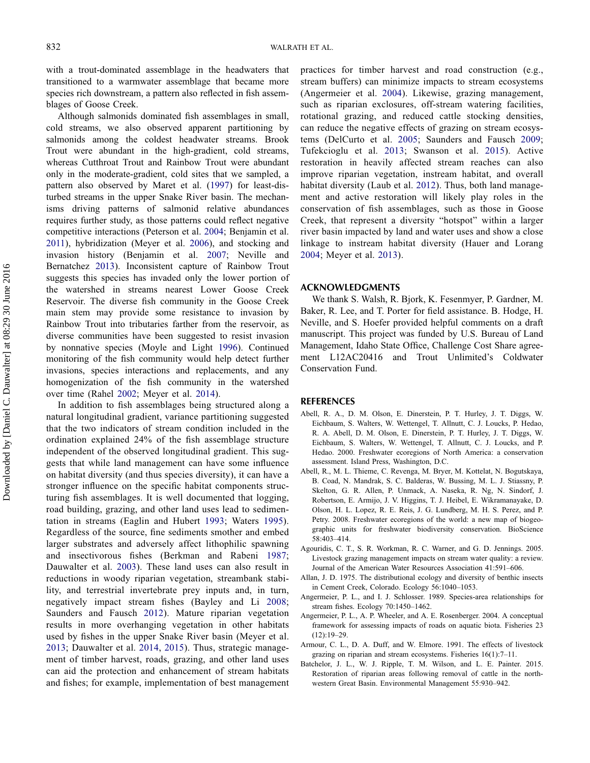with a trout-dominated assemblage in the headwaters that transitioned to a warmwater assemblage that became more species rich downstream, a pattern also reflected in fish assemblages of Goose Creek.

Although salmonids dominated fish assemblages in small, cold streams, we also observed apparent partitioning by salmonids among the coldest headwater streams. Brook Trout were abundant in the high-gradient, cold streams, whereas Cutthroat Trout and Rainbow Trout were abundant only in the moderate-gradient, cold sites that we sampled, a pattern also observed by Maret et al. [\(1997](#page-13-26)) for least-disturbed streams in the upper Snake River basin. The mechanisms driving patterns of salmonid relative abundances requires further study, as those patterns could reflect negative competitive interactions (Peterson et al. [2004](#page-14-33); Benjamin et al. [2011\)](#page-13-27), hybridization (Meyer et al. [2006](#page-13-14)), and stocking and invasion history (Benjamin et al. [2007;](#page-13-28) Neville and Bernatchez [2013](#page-14-34)). Inconsistent capture of Rainbow Trout suggests this species has invaded only the lower portion of the watershed in streams nearest Lower Goose Creek Reservoir. The diverse fish community in the Goose Creek main stem may provide some resistance to invasion by Rainbow Trout into tributaries farther from the reservoir, as diverse communities have been suggested to resist invasion by nonnative species (Moyle and Light [1996\)](#page-14-35). Continued monitoring of the fish community would help detect further invasions, species interactions and replacements, and any homogenization of the fish community in the watershed over time (Rahel [2002;](#page-14-36) Meyer et al. [2014](#page-13-29)).

In addition to fish assemblages being structured along a natural longitudinal gradient, variance partitioning suggested that the two indicators of stream condition included in the ordination explained 24% of the fish assemblage structure independent of the observed longitudinal gradient. This suggests that while land management can have some influence on habitat diversity (and thus species diversity), it can have a stronger influence on the specific habitat components structuring fish assemblages. It is well documented that logging, road building, grazing, and other land uses lead to sedimentation in streams (Eaglin and Hubert [1993;](#page-13-21) Waters [1995](#page-14-25)). Regardless of the source, fine sediments smother and embed larger substrates and adversely affect lithophilic spawning and insectivorous fishes (Berkman and Rabeni [1987](#page-13-30); Dauwalter et al. [2003\)](#page-13-31). These land uses can also result in reductions in woody riparian vegetation, streambank stability, and terrestrial invertebrate prey inputs and, in turn, negatively impact stream fishes (Bayley and Li [2008](#page-13-32); Saunders and Fausch [2012\)](#page-14-37). Mature riparian vegetation results in more overhanging vegetation in other habitats used by fishes in the upper Snake River basin (Meyer et al. [2013](#page-13-13); Dauwalter et al. [2014,](#page-13-33) [2015](#page-13-34)). Thus, strategic management of timber harvest, roads, grazing, and other land uses can aid the protection and enhancement of stream habitats and fishes; for example, implementation of best management practices for timber harvest and road construction (e.g., stream buffers) can minimize impacts to stream ecosystems (Angermeier et al. [2004](#page-12-7)). Likewise, grazing management, such as riparian exclosures, off-stream watering facilities, rotational grazing, and reduced cattle stocking densities, can reduce the negative effects of grazing on stream ecosystems (DelCurto et al. [2005;](#page-13-35) Saunders and Fausch [2009](#page-14-9); Tufekcioglu et al. [2013;](#page-14-38) Swanson et al. [2015](#page-14-22)). Active restoration in heavily affected stream reaches can also improve riparian vegetation, instream habitat, and overall habitat diversity (Laub et al. [2012\)](#page-13-3). Thus, both land management and active restoration will likely play roles in the conservation of fish assemblages, such as those in Goose Creek, that represent a diversity "hotspot" within a larger river basin impacted by land and water uses and show a close linkage to instream habitat diversity (Hauer and Lorang [2004](#page-13-36); Meyer et al. [2013\)](#page-13-13).

#### ACKNOWLEDGMENTS

We thank S. Walsh, R. Bjork, K. Fesenmyer, P. Gardner, M. Baker, R. Lee, and T. Porter for field assistance. B. Hodge, H. Neville, and S. Hoefer provided helpful comments on a draft manuscript. This project was funded by U.S. Bureau of Land Management, Idaho State Office, Challenge Cost Share agreement L12AC20416 and Trout Unlimited's Coldwater Conservation Fund.

#### REFERENCES

- <span id="page-12-6"></span>Abell, R. A., D. M. Olson, E. Dinerstein, P. T. Hurley, J. T. Diggs, W. Eichbaum, S. Walters, W. Wettengel, T. Allnutt, C. J. Loucks, P. Hedao, R. A. Abell, D. M. Olson, E. Dinerstein, P. T. Hurley, J. T. Diggs, W. Eichbaum, S. Walters, W. Wettengel, T. Allnutt, C. J. Loucks, and P. Hedao. 2000. Freshwater ecoregions of North America: a conservation assessment. Island Press, Washington, D.C.
- <span id="page-12-4"></span>Abell, R., M. L. Thieme, C. Revenga, M. Bryer, M. Kottelat, N. Bogutskaya, B. Coad, N. Mandrak, S. C. Balderas, W. Bussing, M. L. J. Stiassny, P. Skelton, G. R. Allen, P. Unmack, A. Naseka, R. Ng, N. Sindorf, J. Robertson, E. Armijo, J. V. Higgins, T. J. Heibel, E. Wikramanayake, D. Olson, H. L. Lopez, R. E. Reis, J. G. Lundberg, M. H. S. Perez, and P. Petry. 2008. Freshwater ecoregions of the world: a new map of biogeographic units for freshwater biodiversity conservation. BioScience 58:403–414.
- <span id="page-12-3"></span>Agouridis, C. T., S. R. Workman, R. C. Warner, and G. D. Jennings. 2005. Livestock grazing management impacts on stream water quality: a review. Journal of the American Water Resources Association 41:591–606.
- <span id="page-12-5"></span>Allan, J. D. 1975. The distributional ecology and diversity of benthic insects in Cement Creek, Colorado. Ecology 56:1040–1053.
- <span id="page-12-0"></span>Angermeier, P. L., and I. J. Schlosser. 1989. Species-area relationships for stream fishes. Ecology 70:1450–1462.
- <span id="page-12-7"></span>Angermeier, P. L., A. P. Wheeler, and A. E. Rosenberger. 2004. A conceptual framework for assessing impacts of roads on aquatic biota. Fisheries 23 (12):19–29.
- <span id="page-12-2"></span>Armour, C. L., D. A. Duff, and W. Elmore. 1991. The effects of livestock grazing on riparian and stream ecosystems. Fisheries 16(1):7–11.
- <span id="page-12-1"></span>Batchelor, J. L., W. J. Ripple, T. M. Wilson, and L. E. Painter. 2015. Restoration of riparian areas following removal of cattle in the northwestern Great Basin. Environmental Management 55:930–942.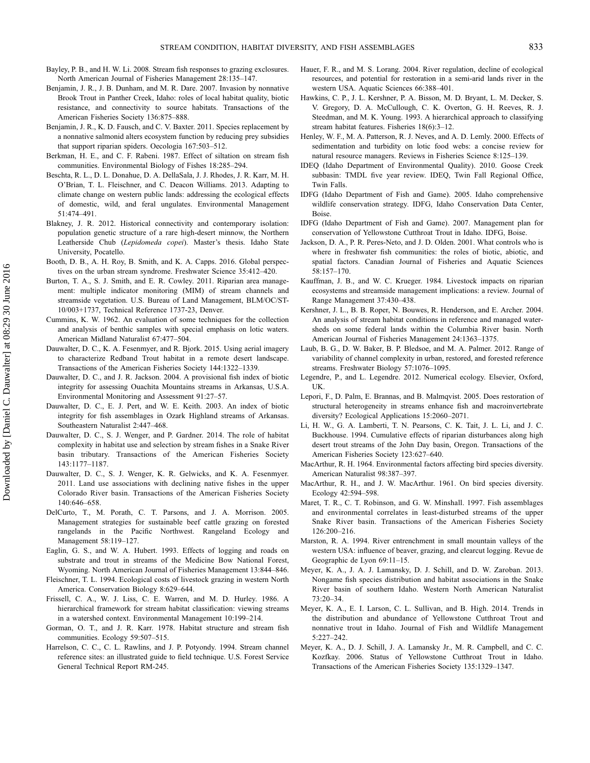- <span id="page-13-32"></span>Bayley, P. B., and H. W. Li. 2008. Stream fish responses to grazing exclosures. North American Journal of Fisheries Management 28:135–147.
- <span id="page-13-28"></span>Benjamin, J. R., J. B. Dunham, and M. R. Dare. 2007. Invasion by nonnative Brook Trout in Panther Creek, Idaho: roles of local habitat quality, biotic resistance, and connectivity to source habitats. Transactions of the American Fisheries Society 136:875–888.
- <span id="page-13-27"></span>Benjamin, J. R., K. D. Fausch, and C. V. Baxter. 2011. Species replacement by a nonnative salmonid alters ecosystem function by reducing prey subsidies that support riparian spiders. Oecologia 167:503–512.
- <span id="page-13-30"></span>Berkman, H. E., and C. F. Rabeni. 1987. Effect of siltation on stream fish communities. Environmental Biology of Fishes 18:285–294.
- <span id="page-13-9"></span>Beschta, R. L., D. L. Donahue, D. A. DellaSala, J. J. Rhodes, J. R. Karr, M. H. O'Brian, T. L. Fleischner, and C. Deacon Williams. 2013. Adapting to climate change on western public lands: addressing the ecological effects of domestic, wild, and feral ungulates. Environmental Management 51:474–491.
- <span id="page-13-17"></span>Blakney, J. R. 2012. Historical connectivity and contemporary isolation: population genetic structure of a rare high-desert minnow, the Northern Leatherside Chub (Lepidomeda copei). Master's thesis. Idaho State University, Pocatello.
- <span id="page-13-5"></span>Booth, D. B., A. H. Roy, B. Smith, and K. A. Capps. 2016. Global perspectives on the urban stream syndrome. Freshwater Science 35:412–420.
- <span id="page-13-16"></span>Burton, T. A., S. J. Smith, and E. R. Cowley. 2011. Riparian area management: multiple indicator monitoring (MIM) of stream channels and streamside vegetation. U.S. Bureau of Land Management, BLM/OC/ST-10/003+1737, Technical Reference 1737-23, Denver.
- <span id="page-13-18"></span>Cummins, K. W. 1962. An evaluation of some techniques for the collection and analysis of benthic samples with special emphasis on lotic waters. American Midland Naturalist 67:477–504.
- <span id="page-13-34"></span>Dauwalter, D. C., K. A. Fesenmyer, and R. Bjork. 2015. Using aerial imagery to characterize Redband Trout habitat in a remote desert landscape. Transactions of the American Fisheries Society 144:1322–1339.
- <span id="page-13-12"></span>Dauwalter, D. C., and J. R. Jackson. 2004. A provisional fish index of biotic integrity for assessing Ouachita Mountains streams in Arkansas, U.S.A. Environmental Monitoring and Assessment 91:27–57.
- <span id="page-13-31"></span>Dauwalter, D. C., E. J. Pert, and W. E. Keith. 2003. An index of biotic integrity for fish assemblages in Ozark Highland streams of Arkansas. Southeastern Naturalist 2:447–468.
- <span id="page-13-33"></span>Dauwalter, D. C., S. J. Wenger, and P. Gardner. 2014. The role of habitat complexity in habitat use and selection by stream fishes in a Snake River basin tributary. Transactions of the American Fisheries Society 143:1177–1187.
- <span id="page-13-11"></span>Dauwalter, D. C., S. J. Wenger, K. R. Gelwicks, and K. A. Fesenmyer. 2011. Land use associations with declining native fishes in the upper Colorado River basin. Transactions of the American Fisheries Society 140:646–658.
- <span id="page-13-35"></span>DelCurto, T., M. Porath, C. T. Parsons, and J. A. Morrison. 2005. Management strategies for sustainable beef cattle grazing on forested rangelands in the Pacific Northwest. Rangeland Ecology and Management 58:119–127.
- <span id="page-13-21"></span>Eaglin, G. S., and W. A. Hubert. 1993. Effects of logging and roads on substrate and trout in streams of the Medicine Bow National Forest, Wyoming. North American Journal of Fisheries Management 13:844–846.
- <span id="page-13-7"></span>Fleischner, T. L. 1994. Ecological costs of livestock grazing in western North America. Conservation Biology 8:629–644.
- <span id="page-13-4"></span>Frissell, C. A., W. J. Liss, C. E. Warren, and M. D. Hurley. 1986. A hierarchical framework for stream habitat classification: viewing streams in a watershed context. Environmental Management 10:199–214.
- <span id="page-13-1"></span>Gorman, O. T., and J. R. Karr. 1978. Habitat structure and stream fish communities. Ecology 59:507–515.
- <span id="page-13-15"></span>Harrelson, C. C., C. L. Rawlins, and J. P. Potyondy. 1994. Stream channel reference sites: an illustrated guide to field technique. U.S. Forest Service General Technical Report RM-245.
- <span id="page-13-36"></span>Hauer, F. R., and M. S. Lorang. 2004. River regulation, decline of ecological resources, and potential for restoration in a semi-arid lands river in the western USA. Aquatic Sciences 66:388–401.
- <span id="page-13-19"></span>Hawkins, C. P., J. L. Kershner, P. A. Bisson, M. D. Bryant, L. M. Decker, S. V. Gregory, D. A. McCullough, C. K. Overton, G. H. Reeves, R. J. Steedman, and M. K. Young. 1993. A hierarchical approach to classifying stream habitat features. Fisheries 18(6):3–12.
- <span id="page-13-22"></span>Henley, W. F., M. A. Patterson, R. J. Neves, and A. D. Lemly. 2000. Effects of sedimentation and turbidity on lotic food webs: a concise review for natural resource managers. Reviews in Fisheries Science 8:125–139.
- IDEQ (Idaho Department of Environmental Quality). 2010. Goose Creek subbasin: TMDL five year review. IDEQ, Twin Fall Regional Office, Twin Falls.
- IDFG (Idaho Department of Fish and Game). 2005. Idaho comprehensive wildlife conservation strategy. IDFG, Idaho Conservation Data Center, Boise.
- IDFG (Idaho Department of Fish and Game). 2007. Management plan for conservation of Yellowstone Cutthroat Trout in Idaho. IDFG, Boise.
- <span id="page-13-24"></span>Jackson, D. A., P. R. Peres-Neto, and J. D. Olden. 2001. What controls who is where in freshwater fish communities: the roles of biotic, abiotic, and spatial factors. Canadian Journal of Fisheries and Aquatic Sciences 58:157–170.
- <span id="page-13-8"></span>Kauffman, J. B., and W. C. Krueger. 1984. Livestock impacts on riparian ecosystems and streamside management implications: a review. Journal of Range Management 37:430–438.
- <span id="page-13-6"></span>Kershner, J. L., B. B. Roper, N. Bouwes, R. Henderson, and E. Archer. 2004. An analysis of stream habitat conditions in reference and managed watersheds on some federal lands within the Columbia River basin. North American Journal of Fisheries Management 24:1363–1375.
- <span id="page-13-3"></span>Laub, B. G., D. W. Baker, B. P. Bledsoe, and M. A. Palmer. 2012. Range of variability of channel complexity in urban, restored, and forested reference streams. Freshwater Biology 57:1076–1095.
- <span id="page-13-20"></span>Legendre, P., and L. Legendre. 2012. Numerical ecology. Elsevier, Oxford, UK.
- <span id="page-13-2"></span>Lepori, F., D. Palm, E. Brannas, and B. Malmqvist. 2005. Does restoration of structural heterogeneity in streams enhance fish and macroinvertebrate diversity? Ecological Applications 15:2060–2071.
- <span id="page-13-10"></span>Li, H. W., G. A. Lamberti, T. N. Pearsons, C. K. Tait, J. L. Li, and J. C. Buckhouse. 1994. Cumulative effects of riparian disturbances along high desert trout streams of the John Day basin, Oregon. Transactions of the American Fisheries Society 123:627–640.
- <span id="page-13-23"></span>MacArthur, R. H. 1964. Environmental factors affecting bird species diversity. American Naturalist 98:387–397.
- <span id="page-13-0"></span>MacArthur, R. H., and J. W. MacArthur. 1961. On bird species diversity. Ecology 42:594–598.
- <span id="page-13-26"></span>Maret, T. R., C. T. Robinson, and G. W. Minshall. 1997. Fish assemblages and environmental correlates in least-disturbed streams of the upper Snake River basin. Transactions of the American Fisheries Society 126:200–216.
- <span id="page-13-25"></span>Marston, R. A. 1994. River entrenchment in small mountain valleys of the western USA: influence of beaver, grazing, and clearcut logging. Revue de Geographic de Lyon 69:11–15.
- <span id="page-13-13"></span>Meyer, K. A., J. A. J. Lamansky, D. J. Schill, and D. W. Zaroban. 2013. Nongame fish species distribution and habitat associations in the Snake River basin of southern Idaho. Western North American Naturalist 73:20–34.
- <span id="page-13-29"></span>Meyer, K. A., E. I. Larson, C. L. Sullivan, and B. High. 2014. Trends in the distribution and abundance of Yellowstone Cutthroat Trout and nonnative trout in Idaho. Journal of Fish and Wildlife Management 5:227–242.
- <span id="page-13-14"></span>Meyer, K. A., D. J. Schill, J. A. Lamansky Jr., M. R. Campbell, and C. C. Kozfkay. 2006. Status of Yellowstone Cutthroat Trout in Idaho. Transactions of the American Fisheries Society 135:1329–1347.